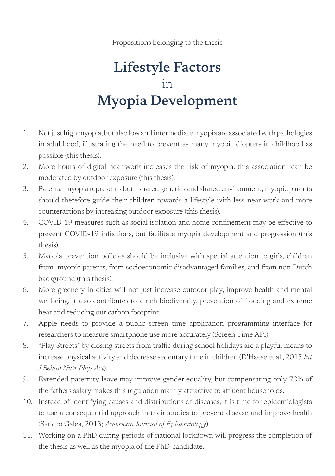Propositions belonging to the thesis

## **Lifestyle Factors** in **Myopia Development**

- 1. Not just high myopia, but also low and intermediate myopia are associated with pathologies in adulthood, illustrating the need to prevent as many myopic diopters in childhood as possible (this thesis).
- 2. More hours of digital near work increases the risk of myopia, this association can be moderated by outdoor exposure (this thesis).
- 3. Parental myopia represents both shared genetics and shared environment; myopic parents should therefore guide their children towards a lifestyle with less near work and more counteractions by increasing outdoor exposure (this thesis).
- 4. COVID-19 measures such as social isolation and home confinement may be effective to prevent COVID-19 infections, but facilitate myopia development and progression (this thesis).
- 5. Myopia prevention policies should be inclusive with special attention to girls, children from myopic parents, from socioeconomic disadvantaged families, and from non-Dutch background (this thesis).
- 6. More greenery in cities will not just increase outdoor play, improve health and mental wellbeing, it also contributes to a rich biodiversity, prevention of flooding and extreme heat and reducing our carbon footprint.
- 7. Apple needs to provide a public screen time application programming interface for researchers to measure smartphone use more accurately (Screen Time API).
- 8. "Play Streets" by closing streets from traffic during school holidays are a playful means to increase physical activity and decrease sedentary time in children (D'Haese et al., 2015 *Int*  $J$  Behav Nutr Phys Act).
- 9. Extended paternity leave may improve gender equality, but compensating only 70% of the fathers salary makes this regulation mainly attractive to affluent households.
- 10. Instead of identifying causes and distributions of diseases, it is time for epidemiologists to use a consequential approach in their studies to prevent disease and improve health (Sandro Galea, 2013; American Journal of Epidemiology).
- 11. Working on a PhD during periods of national lockdown will progress the completion of the thesis as well as the myopia of the PhD-candidate.